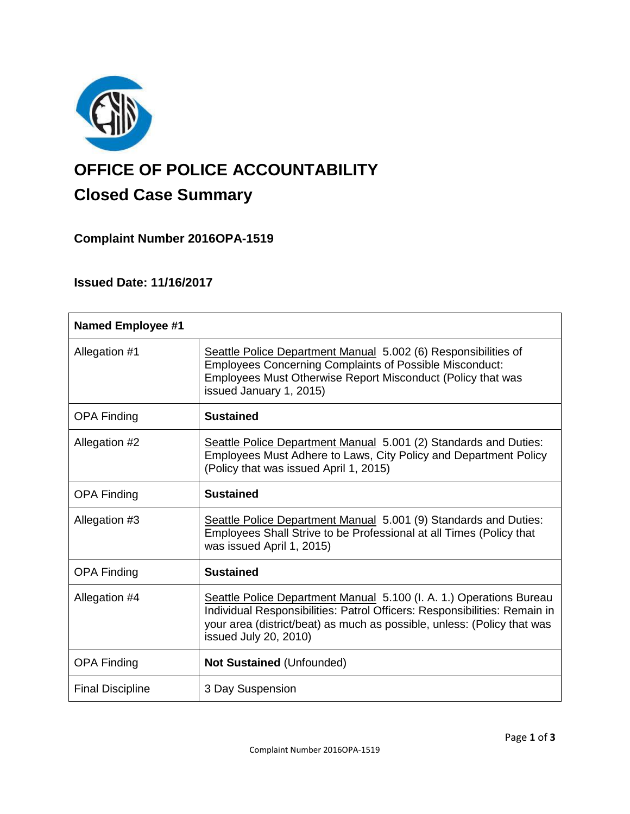

# **OFFICE OF POLICE ACCOUNTABILITY**

## **Closed Case Summary**

**Complaint Number 2016OPA-1519**

### **Issued Date: 11/16/2017**

| <b>Named Employee #1</b> |                                                                                                                                                                                                                                                      |
|--------------------------|------------------------------------------------------------------------------------------------------------------------------------------------------------------------------------------------------------------------------------------------------|
| Allegation #1            | Seattle Police Department Manual 5.002 (6) Responsibilities of<br><b>Employees Concerning Complaints of Possible Misconduct:</b><br>Employees Must Otherwise Report Misconduct (Policy that was<br>issued January 1, 2015)                           |
| <b>OPA Finding</b>       | <b>Sustained</b>                                                                                                                                                                                                                                     |
| Allegation #2            | Seattle Police Department Manual 5.001 (2) Standards and Duties:<br>Employees Must Adhere to Laws, City Policy and Department Policy<br>(Policy that was issued April 1, 2015)                                                                       |
| <b>OPA Finding</b>       | <b>Sustained</b>                                                                                                                                                                                                                                     |
| Allegation #3            | Seattle Police Department Manual 5.001 (9) Standards and Duties:<br>Employees Shall Strive to be Professional at all Times (Policy that<br>was issued April 1, 2015)                                                                                 |
| <b>OPA Finding</b>       | <b>Sustained</b>                                                                                                                                                                                                                                     |
| Allegation #4            | Seattle Police Department Manual 5.100 (I. A. 1.) Operations Bureau<br>Individual Responsibilities: Patrol Officers: Responsibilities: Remain in<br>your area (district/beat) as much as possible, unless: (Policy that was<br>issued July 20, 2010) |
| <b>OPA Finding</b>       | <b>Not Sustained (Unfounded)</b>                                                                                                                                                                                                                     |
| <b>Final Discipline</b>  | 3 Day Suspension                                                                                                                                                                                                                                     |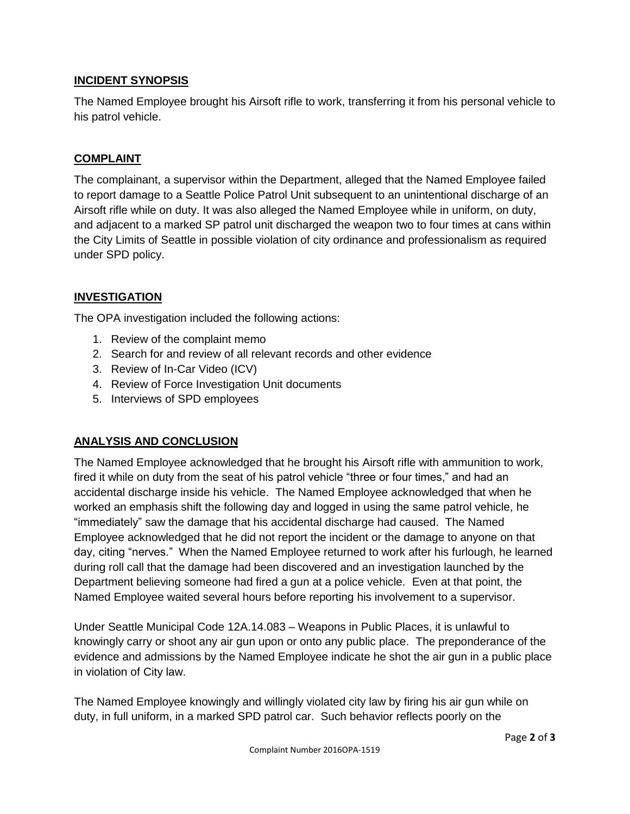#### **INCIDENT SYNOPSIS**

The Named Employee brought his Airsoft rifle to work, transferring it from his personal vehicle to his patrol vehicle.

#### **COMPLAINT**

The complainant, a supervisor within the Department, alleged that the Named Employee failed to report damage to a Seattle Police Patrol Unit subsequent to an unintentional discharge of an Airsoft rifle while on duty. It was also alleged the Named Employee while in uniform, on duty, and adjacent to a marked SP patrol unit discharged the weapon two to four times at cans within the City Limits of Seattle in possible violation of city ordinance and professionalism as required under SPD policy.

#### **INVESTIGATION**

The OPA investigation included the following actions:

- 1. Review of the complaint memo
- 2. Search for and review of all relevant records and other evidence
- 3. Review of In-Car Video (ICV)
- 4. Review of Force Investigation Unit documents
- 5. Interviews of SPD employees

#### **ANALYSIS AND CONCLUSION**

The Named Employee acknowledged that he brought his Airsoft rifle with ammunition to work, fired it while on duty from the seat of his patrol vehicle "three or four times," and had an accidental discharge inside his vehicle. The Named Employee acknowledged that when he worked an emphasis shift the following day and logged in using the same patrol vehicle, he "immediately" saw the damage that his accidental discharge had caused. The Named Employee acknowledged that he did not report the incident or the damage to anyone on that day, citing "nerves." When the Named Employee returned to work after his furlough, he learned during roll call that the damage had been discovered and an investigation launched by the Department believing someone had fired a gun at a police vehicle. Even at that point, the Named Employee waited several hours before reporting his involvement to a supervisor.

Under Seattle Municipal Code 12A.14.083 – Weapons in Public Places, it is unlawful to knowingly carry or shoot any air gun upon or onto any public place. The preponderance of the evidence and admissions by the Named Employee indicate he shot the air gun in a public place in violation of City law.

The Named Employee knowingly and willingly violated city law by firing his air gun while on duty, in full uniform, in a marked SPD patrol car. Such behavior reflects poorly on the